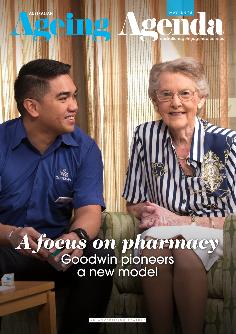**USTRALIAN** 

**COOMIN** 

MAY-JUN 18

einagaenda.

# *A focus on pharmacy* Goodwin pioneers a new model

AN ADVERTISING FEATURE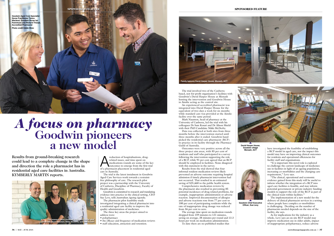

**Goodwin Chief Executive Officer, Sue Levy**



The trial involved two of the Canberrabased, not-for-profit organisation's facilities with Goodwin's David Harper House at Monash hosting the intervention and Goodwin House in Ainslie acting as the control site.

An experienced accredited pharmacist was integrated into David Harper House for the equivalent of two days a week for six months while standard care was provided at the Ainslie facility over the same period.

Mark Naunton, head of pharmacy at the University of Canberra, led the trial with his colleagues Dr Sam Kosari and Dr Alison Shield with their PhD Candidate Nikki McDerby.

Data was collected at both sites from three months before the intervention started until three months after it ended. Goodwin handpicked the residential care pharmacist (RCP) to practice in its facility through the Pharmacy Guild of Australia.

Outcomes were very positive across all the three project aim areas, with 85 per cent of residents and staff who participated in a survey following the intervention supporting the role of a RCP, while 91 per cent agreed that an RCP should be employed in facilities. None disagreed with this statement in the survey.

Results from the trial showed that four informal resident medication reviews likely prevented an adverse outcome requiring hospital admission if timely pharmacist intervention had not occurred. That resulted in an estimated saving of \$25,460 to the public health system.

Comprehensive medication reviews by the pharmacist also resulted in preventing 85 potential incidences of drug related problems, for example, inappropriate administration or adverse reaction. Improved documentation of allergies and adverse reactions rose from 77 per cent to 100 per cent of participating residents while the rate of inappropriate drug dosage was reduced from 36 per cent to zero.

reduction of hospitalisations, drug-<br>related issues, and time spent on<br>medications rounds are some of the k<br>outcomes to emerge from the first tri<br>of a pharmacist placement in residential aged related issues, and time spent on medications rounds are some of the key outcomes to emerge from the first trial care in Australia.

> The average time spent on medication rounds dropped from 159 minutes to 121 minutes, saving on average, 38 minutes per round and 13.3 hours per week on medication administration.

To date there are no published studies that

The pharmacist pilot feasibility study investigated integrating a clinical pharmacist into a residential aged care facility to improve the quality administration of medicines.

have investigated the feasibility of establishing a RCP model in aged care, nor the impact this model may have on improving clinical outcomes for residents and operational efficiencies for facility staff and organisations.

"It is important this novel role is explored to challenge the current landscape of medicines use in facilities in light of an ageing population, increasing co-morbidities and the changing care requirement," Levy says.

"The clinical, operational and economic evidence gained from this study will be useful to inform whether the integration of a RCP into aged care facilities is feasible, and may inform potential government or private industry funding models to support the role of the RCP as part of the clinical team within facilities."

The implementation of a new model for the delivery of clinical pharmacist services in a setting where people have complex co-morbidities is challenging. Deciding on the number of pharmacists needed depends on the size of the facility, she says.

As for implications for the industry as a whole, Levy says an on-site RCP model may improve medication use in older adults, impact of inappropriate polypharmacy, reduce adverse





**David Harper House, Goodwin village Monash, ACT**

The trial is the latest instalment in Goodwin Aged Care Services work towards a restraintfree philosophy of care. The research pilot project was a partnership with the University of Canberra, Discipline of Pharmacy, Faculty of Health and Goodwin.

Goodwin is committed to research and translating evidence into practice in the clinical setting, CEO Sue Levy, tells *Australian Ageing Agenda*.

The three key areas the project aimed to address were:

- polypharmacy
- the efficacy and frequency of medication reviews
- staff education, attraction and retention.

# *A focus on pharmacy* **Goodwin pioneers a new model**

Results from ground-breaking research could lead to a complete change in the shape and direction the role a pharmacist has in residential aged care facilities in Australia. KYMBERLY MARTIN reports.